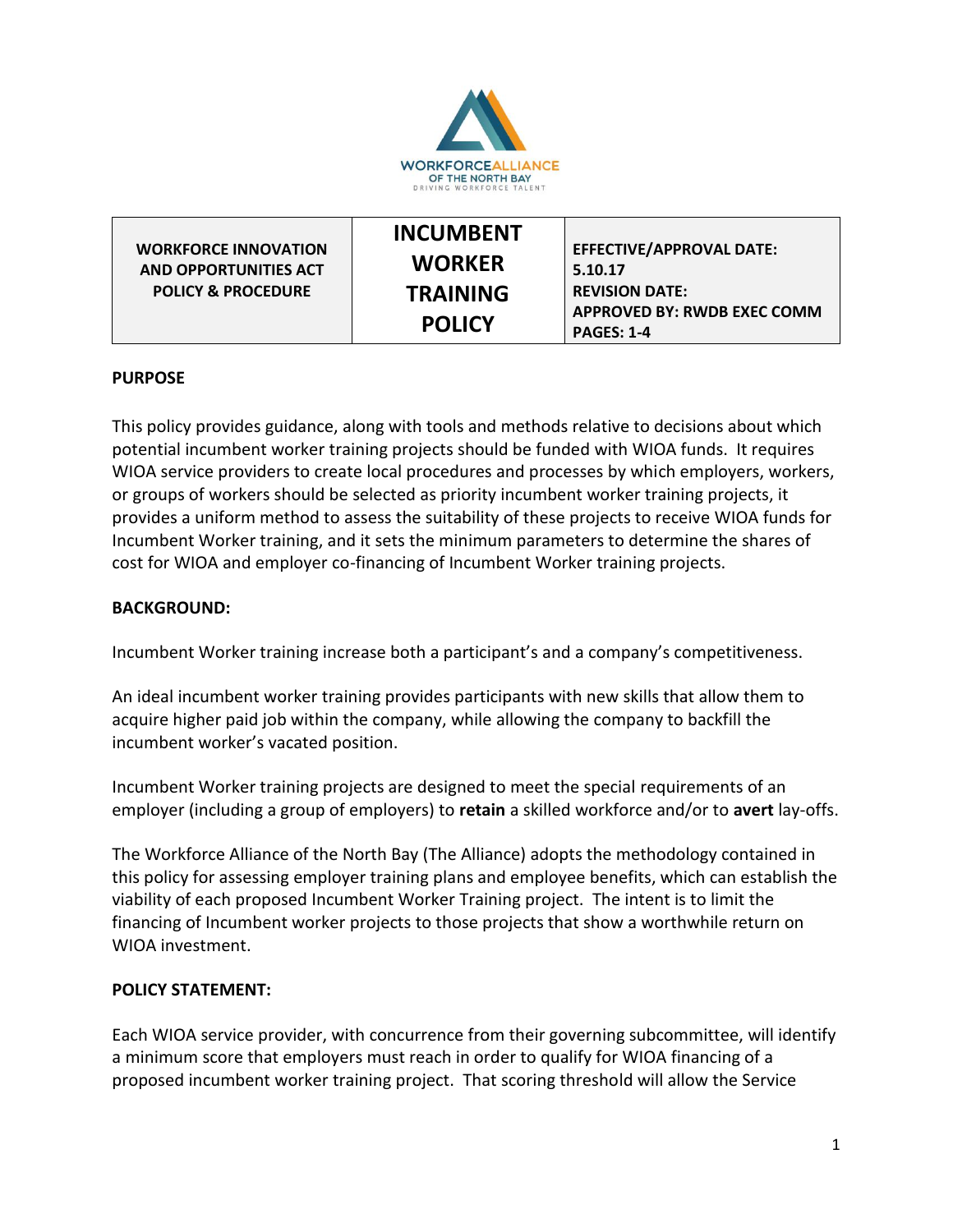

|                               | <b>INCUMBENT</b> |                                    |
|-------------------------------|------------------|------------------------------------|
| <b>WORKFORCE INNOVATION</b>   |                  | <b>EFFECTIVE/APPROVAL DATE:</b>    |
| AND OPPORTUNITIES ACT         | <b>WORKER</b>    | 5.10.17                            |
| <b>POLICY &amp; PROCEDURE</b> | <b>TRAINING</b>  | <b>REVISION DATE:</b>              |
|                               | <b>POLICY</b>    | <b>APPROVED BY: RWDB EXEC COMM</b> |
|                               |                  | <b>PAGES: 1-4</b>                  |

## **PURPOSE**

This policy provides guidance, along with tools and methods relative to decisions about which potential incumbent worker training projects should be funded with WIOA funds. It requires WIOA service providers to create local procedures and processes by which employers, workers, or groups of workers should be selected as priority incumbent worker training projects, it provides a uniform method to assess the suitability of these projects to receive WIOA funds for Incumbent Worker training, and it sets the minimum parameters to determine the shares of cost for WIOA and employer co-financing of Incumbent Worker training projects.

## **BACKGROUND:**

Incumbent Worker training increase both a participant's and a company's competitiveness.

An ideal incumbent worker training provides participants with new skills that allow them to acquire higher paid job within the company, while allowing the company to backfill the incumbent worker's vacated position.

Incumbent Worker training projects are designed to meet the special requirements of an employer (including a group of employers) to **retain** a skilled workforce and/or to **avert** lay-offs.

The Workforce Alliance of the North Bay (The Alliance) adopts the methodology contained in this policy for assessing employer training plans and employee benefits, which can establish the viability of each proposed Incumbent Worker Training project. The intent is to limit the financing of Incumbent worker projects to those projects that show a worthwhile return on WIOA investment.

#### **POLICY STATEMENT:**

Each WIOA service provider, with concurrence from their governing subcommittee, will identify a minimum score that employers must reach in order to qualify for WIOA financing of a proposed incumbent worker training project. That scoring threshold will allow the Service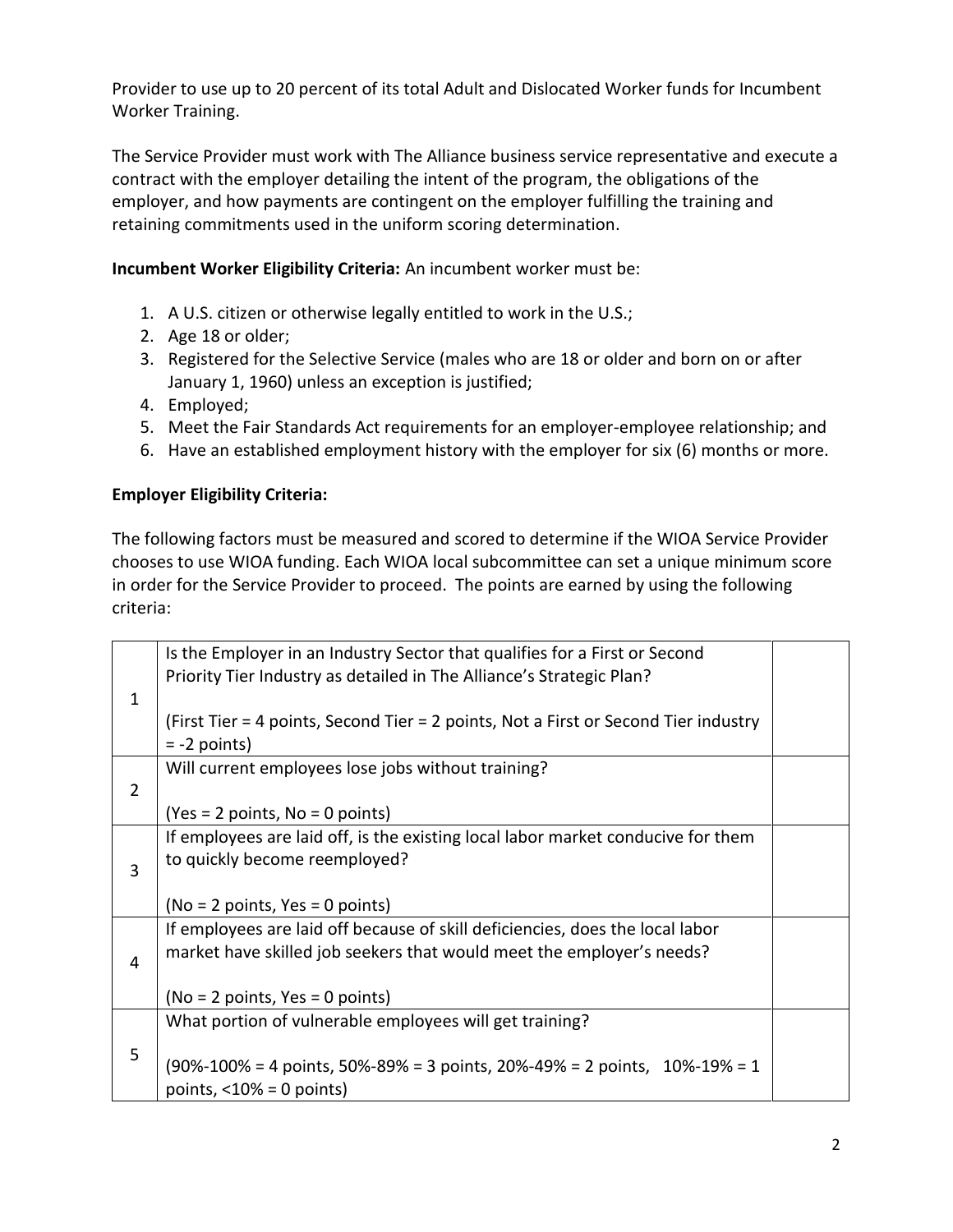Provider to use up to 20 percent of its total Adult and Dislocated Worker funds for Incumbent Worker Training.

The Service Provider must work with The Alliance business service representative and execute a contract with the employer detailing the intent of the program, the obligations of the employer, and how payments are contingent on the employer fulfilling the training and retaining commitments used in the uniform scoring determination.

**Incumbent Worker Eligibility Criteria:** An incumbent worker must be:

- 1. A U.S. citizen or otherwise legally entitled to work in the U.S.;
- 2. Age 18 or older;
- 3. Registered for the Selective Service (males who are 18 or older and born on or after January 1, 1960) unless an exception is justified;
- 4. Employed;
- 5. Meet the Fair Standards Act requirements for an employer-employee relationship; and
- 6. Have an established employment history with the employer for six (6) months or more.

# **Employer Eligibility Criteria:**

The following factors must be measured and scored to determine if the WIOA Service Provider chooses to use WIOA funding. Each WIOA local subcommittee can set a unique minimum score in order for the Service Provider to proceed. The points are earned by using the following criteria:

|                | Is the Employer in an Industry Sector that qualifies for a First or Second                                          |  |
|----------------|---------------------------------------------------------------------------------------------------------------------|--|
|                | Priority Tier Industry as detailed in The Alliance's Strategic Plan?                                                |  |
| 1              |                                                                                                                     |  |
|                | (First Tier = 4 points, Second Tier = 2 points, Not a First or Second Tier industry                                 |  |
|                |                                                                                                                     |  |
|                | $= -2$ points)                                                                                                      |  |
|                | Will current employees lose jobs without training?                                                                  |  |
| $\overline{2}$ |                                                                                                                     |  |
|                | $Yes = 2 points, No = 0 points)$                                                                                    |  |
|                | If employees are laid off, is the existing local labor market conducive for them                                    |  |
|                | to quickly become reemployed?                                                                                       |  |
| 3              |                                                                                                                     |  |
|                | $No = 2 points, Yes = 0 points)$                                                                                    |  |
|                | If employees are laid off because of skill deficiencies, does the local labor                                       |  |
|                | market have skilled job seekers that would meet the employer's needs?                                               |  |
| 4              |                                                                                                                     |  |
|                |                                                                                                                     |  |
|                | $No = 2 points, Yes = 0 points)$                                                                                    |  |
|                | What portion of vulnerable employees will get training?                                                             |  |
| 5              |                                                                                                                     |  |
|                | $(90\% - 100\% = 4 \text{ points}, 50\% - 89\% = 3 \text{ points}, 20\% - 49\% = 2 \text{ points}, 10\% - 19\% = 1$ |  |
|                | points, $<$ 10% = 0 points)                                                                                         |  |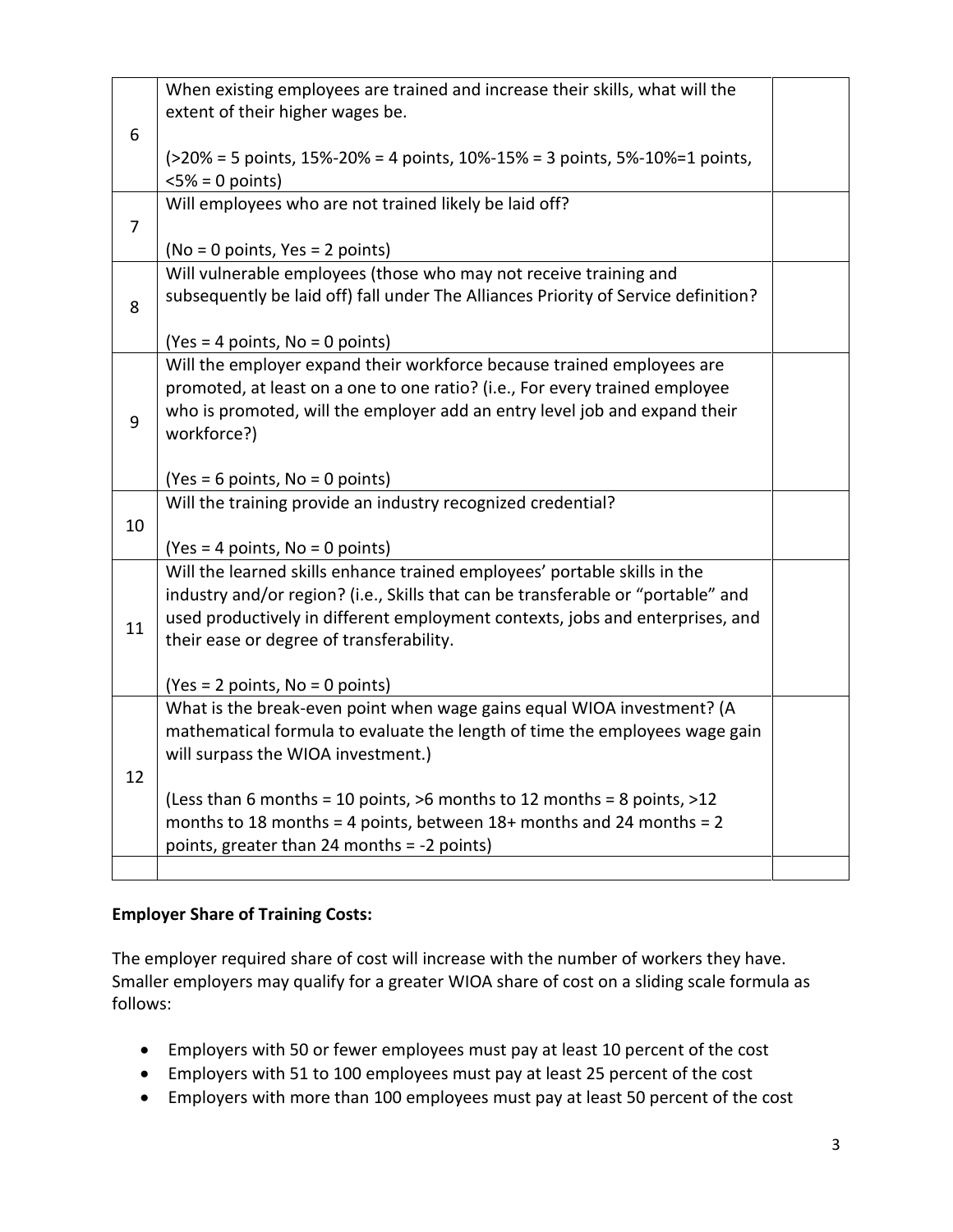|                | When existing employees are trained and increase their skills, what will the<br>extent of their higher wages be.                                              |  |
|----------------|---------------------------------------------------------------------------------------------------------------------------------------------------------------|--|
| 6              | $(>20\% = 5 \text{ points}, 15\% - 20\% = 4 \text{ points}, 10\% - 15\% = 3 \text{ points}, 5\% - 10\% = 1 \text{ points},$<br>$< 5\% = 0$ points)            |  |
|                | Will employees who are not trained likely be laid off?                                                                                                        |  |
| $\overline{7}$ |                                                                                                                                                               |  |
|                | (No = 0 points, Yes = 2 points)                                                                                                                               |  |
|                | Will vulnerable employees (those who may not receive training and                                                                                             |  |
| 8              | subsequently be laid off) fall under The Alliances Priority of Service definition?                                                                            |  |
|                | $(Yes = 4 points, No = 0 points)$                                                                                                                             |  |
|                | Will the employer expand their workforce because trained employees are                                                                                        |  |
|                | promoted, at least on a one to one ratio? (i.e., For every trained employee                                                                                   |  |
| 9              | who is promoted, will the employer add an entry level job and expand their                                                                                    |  |
|                | workforce?)                                                                                                                                                   |  |
|                | $(Yes = 6 points, No = 0 points)$                                                                                                                             |  |
|                | Will the training provide an industry recognized credential?                                                                                                  |  |
| 10             |                                                                                                                                                               |  |
|                | $(Yes = 4 points, No = 0 points)$                                                                                                                             |  |
|                | Will the learned skills enhance trained employees' portable skills in the<br>industry and/or region? (i.e., Skills that can be transferable or "portable" and |  |
|                | used productively in different employment contexts, jobs and enterprises, and                                                                                 |  |
| 11             | their ease or degree of transferability.                                                                                                                      |  |
|                |                                                                                                                                                               |  |
|                | $Yes = 2 points, No = 0 points)$                                                                                                                              |  |
|                | What is the break-even point when wage gains equal WIOA investment? (A                                                                                        |  |
|                | mathematical formula to evaluate the length of time the employees wage gain                                                                                   |  |
| 12             | will surpass the WIOA investment.)                                                                                                                            |  |
|                | (Less than 6 months = 10 points, $>6$ months to 12 months = 8 points, $>12$                                                                                   |  |
|                | months to 18 months = 4 points, between $18+$ months and 24 months = 2                                                                                        |  |
|                | points, greater than 24 months = -2 points)                                                                                                                   |  |
|                |                                                                                                                                                               |  |

## **Employer Share of Training Costs:**

The employer required share of cost will increase with the number of workers they have. Smaller employers may qualify for a greater WIOA share of cost on a sliding scale formula as follows:

- Employers with 50 or fewer employees must pay at least 10 percent of the cost
- Employers with 51 to 100 employees must pay at least 25 percent of the cost
- Employers with more than 100 employees must pay at least 50 percent of the cost